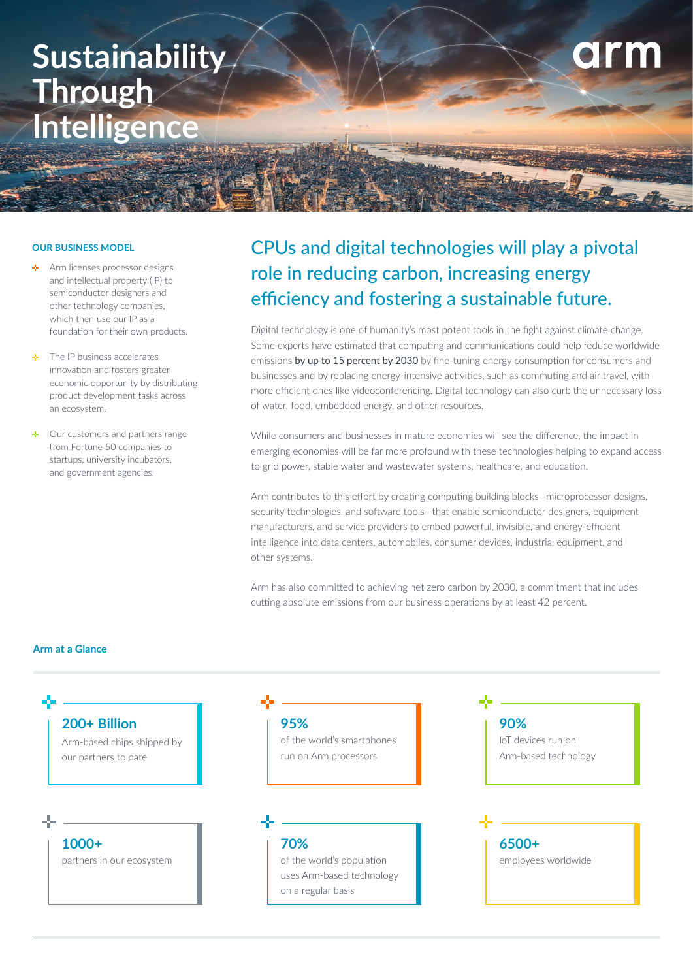# **Sustainability Through Intelligence**

### **OUR BUSINESS MODEL**

- Arm licenses processor designs de l and intellectual property (IP) to semiconductor designers and other technology companies, which then use our IP as a foundation for their own products.
- The IP business accelerates innovation and fosters greater economic opportunity by distributing product development tasks across an ecosystem.
- Our customers and partners range from Fortune 50 companies to startups, university incubators, and government agencies.

## CPUs and digital technologies will play a pivotal role in reducing carbon, increasing energy efficiency and fostering a sustainable future.

arm

Digital technology is one of humanity's most potent tools in the fight against climate change. Some experts have estimated that computing and communications could help reduce worldwide emissions [by up to 15 percent by 2030](https://www.ericsson.com/en/reports-and-papers/research-papers/exploring-the-effects-of-ict-solutions-on-ghg-emissions-in-2030) by fine-tuning energy consumption for consumers and businesses and by replacing energy-intensive activities, such as commuting and air travel, with more efficient ones like videoconferencing. Digital technology can also curb the unnecessary loss of water, food, embedded energy, and other resources.

While consumers and businesses in mature economies will see the difference, the impact in emerging economies will be far more profound with these technologies helping to expand access to grid power, stable water and wastewater systems, healthcare, and education.

Arm contributes to this effort by creating computing building blocks—microprocessor designs, security technologies, and software tools—that enable semiconductor designers, equipment manufacturers, and service providers to embed powerful, invisible, and energy-efficient intelligence into data centers, automobiles, consumer devices, industrial equipment, and other systems.

Arm has also committed to achieving net zero carbon by 2030, a commitment that includes cutting absolute emissions from our business operations by at least 42 percent.

### **Arm at a Glance**